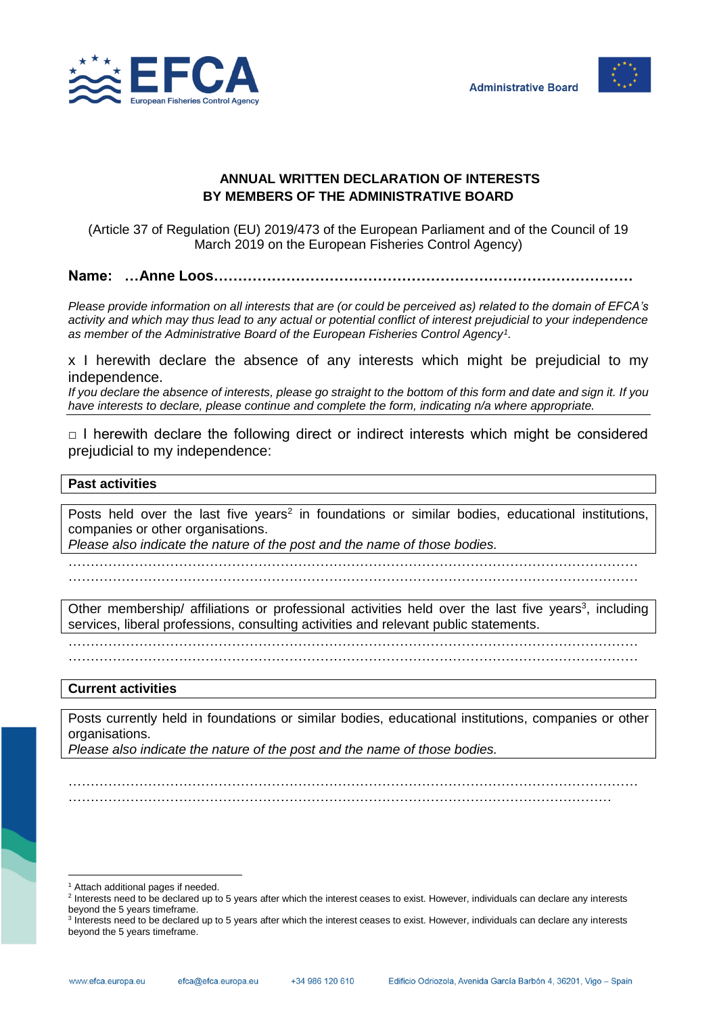



## **ANNUAL WRITTEN DECLARATION OF INTERESTS BY MEMBERS OF THE ADMINISTRATIVE BOARD**

(Article 37 of Regulation (EU) 2019/473 of the European Parliament and of the Council of 19 March 2019 on the European Fisheries Control Agency)

**Name: …Anne Loos……………………………………………………………………………**

*Please provide information on all interests that are (or could be perceived as) related to the domain of EFCA's activity and which may thus lead to any actual or potential conflict of interest prejudicial to your independence as member of the Administrative Board of the European Fisheries Control Agency<sup>1</sup> .*

x I herewith declare the absence of any interests which might be prejudicial to my independence.

*If you declare the absence of interests, please go straight to the bottom of this form and date and sign it. If you have interests to declare, please continue and complete the form, indicating n/a where appropriate.*

 $\Box$  I herewith declare the following direct or indirect interests which might be considered prejudicial to my independence:

## **Past activities**

Posts held over the last five years<sup>2</sup> in foundations or similar bodies, educational institutions, companies or other organisations.

*Please also indicate the nature of the post and the name of those bodies.*

………………………………………………………………………………………………………………… …………………………………………………………………………………………………………………

Other membership/ affiliations or professional activities held over the last five years<sup>3</sup>, including services, liberal professions, consulting activities and relevant public statements.

…………………………………………………………………………………………………………………

…………………………………………………………………………………………………………………

## **Current activities**

Posts currently held in foundations or similar bodies, educational institutions, companies or other organisations.

…………………………………………………………………………………………………………………

*Please also indicate the nature of the post and the name of those bodies.*

……………………………………………………………………………………………………………

l <sup>1</sup> Attach additional pages if needed.

<sup>&</sup>lt;sup>2</sup> Interests need to be declared up to 5 years after which the interest ceases to exist. However, individuals can declare any interests beyond the 5 years timeframe.

<sup>&</sup>lt;sup>3</sup> Interests need to be declared up to 5 years after which the interest ceases to exist. However, individuals can declare any interests beyond the 5 years timeframe.